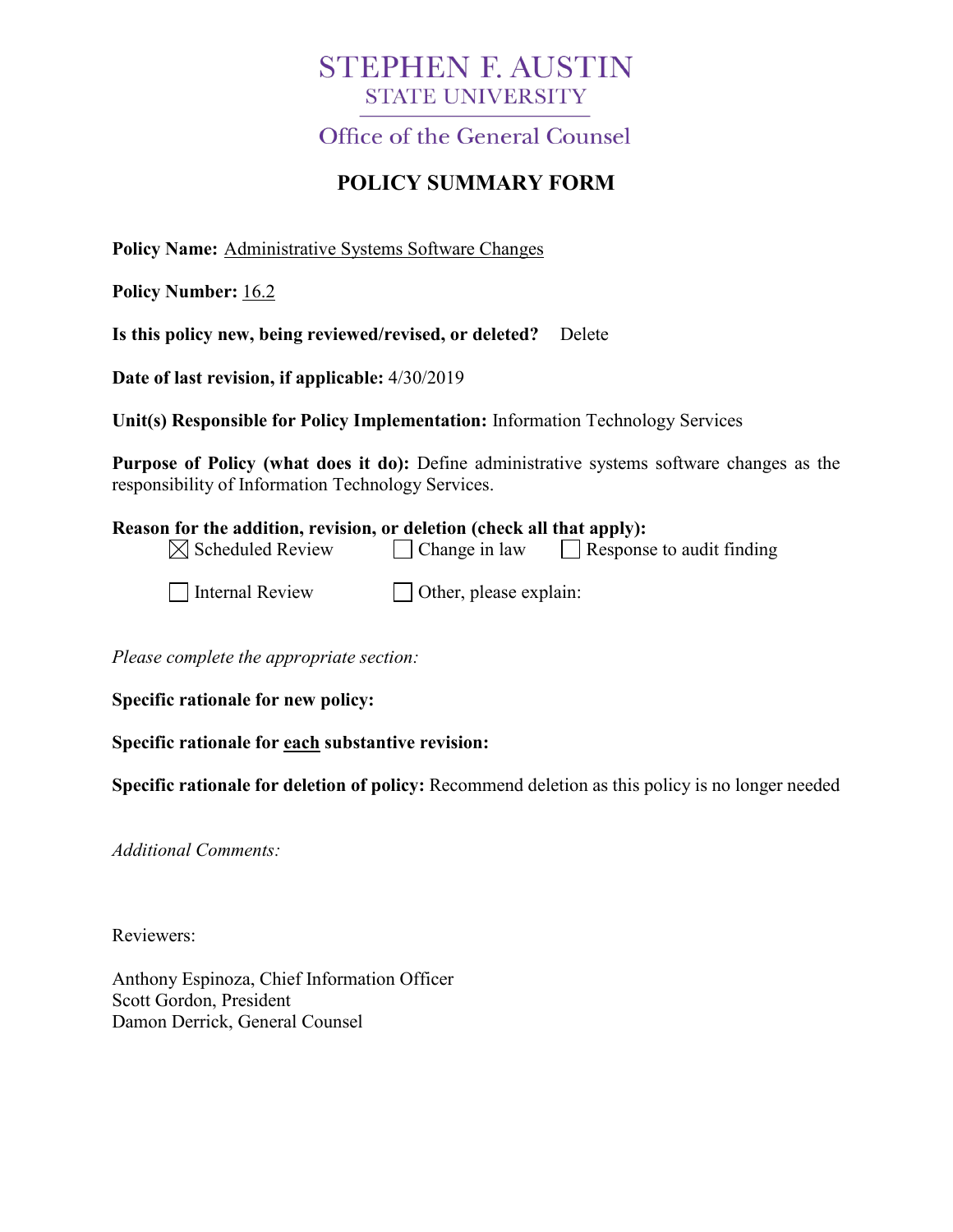## **STEPHEN F. AUSTIN STATE UNIVERSITY**

**Office of the General Counsel** 

## **POLICY SUMMARY FORM**

**Policy Name:** Administrative Systems Software Changes

**Policy Number:** 16.2

**Is this policy new, being reviewed/revised, or deleted?** Delete

**Date of last revision, if applicable:** 4/30/2019

**Unit(s) Responsible for Policy Implementation:** Information Technology Services

**Purpose of Policy (what does it do):** Define administrative systems software changes as the responsibility of Information Technology Services.

| Reason for the addition, revision, or deletion (check all that apply): |                                |                                  |
|------------------------------------------------------------------------|--------------------------------|----------------------------------|
| $\boxtimes$ Scheduled Review                                           | $\Box$ Change in law           | $\Box$ Response to audit finding |
| Internal Review                                                        | $\vert$ Other, please explain: |                                  |

*Please complete the appropriate section:*

**Specific rationale for new policy:**

**Specific rationale for each substantive revision:**

**Specific rationale for deletion of policy:** Recommend deletion as this policy is no longer needed

*Additional Comments:*

Reviewers:

Anthony Espinoza, Chief Information Officer Scott Gordon, President Damon Derrick, General Counsel